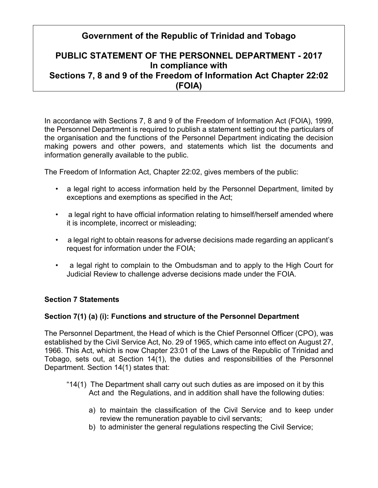# **Government of the Republic of Trinidad and Tobago**

# **PUBLIC STATEMENT OF THE PERSONNEL DEPARTMENT - 2017 In compliance with Sections 7, 8 and 9 of the Freedom of Information Act Chapter 22:02 (FOIA)**

In accordance with Sections 7, 8 and 9 of the Freedom of Information Act (FOIA), 1999, the Personnel Department is required to publish a statement setting out the particulars of the organisation and the functions of the Personnel Department indicating the decision making powers and other powers, and statements which list the documents and information generally available to the public.

The Freedom of Information Act, Chapter 22:02, gives members of the public:

- a legal right to access information held by the Personnel Department, limited by exceptions and exemptions as specified in the Act;
- a legal right to have official information relating to himself/herself amended where it is incomplete, incorrect or misleading;
- a legal right to obtain reasons for adverse decisions made regarding an applicant's request for information under the FOIA;
- a legal right to complain to the Ombudsman and to apply to the High Court for Judicial Review to challenge adverse decisions made under the FOIA.

# **Section 7 Statements**

# **Section 7(1) (a) (i): Functions and structure of the Personnel Department**

The Personnel Department, the Head of which is the Chief Personnel Officer (CPO), was established by the Civil Service Act, No. 29 of 1965, which came into effect on August 27, 1966. This Act, which is now Chapter 23:01 of the Laws of the Republic of Trinidad and Tobago, sets out, at Section 14(1), the duties and responsibilities of the Personnel Department. Section 14(1) states that:

- "14(1) The Department shall carry out such duties as are imposed on it by this Act and the Regulations, and in addition shall have the following duties:
	- a) to maintain the classification of the Civil Service and to keep under review the remuneration payable to civil servants;
	- b) to administer the general regulations respecting the Civil Service;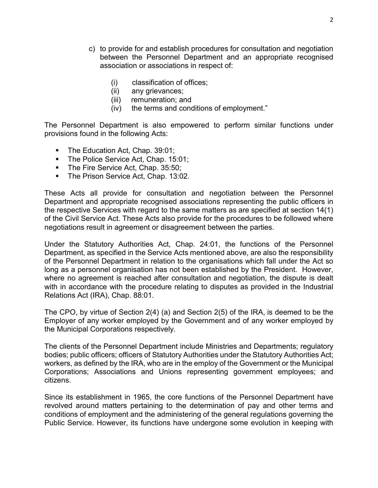- c) to provide for and establish procedures for consultation and negotiation between the Personnel Department and an appropriate recognised association or associations in respect of:
	- (i) classification of offices;
	- (ii) any grievances;
	- (iii) remuneration; and
	- (iv) the terms and conditions of employment."

The Personnel Department is also empowered to perform similar functions under provisions found in the following Acts:

- The Education Act, Chap. 39:01;
- The Police Service Act, Chap. 15:01;
- The Fire Service Act, Chap. 35:50;
- **The Prison Service Act, Chap. 13:02.**

These Acts all provide for consultation and negotiation between the Personnel Department and appropriate recognised associations representing the public officers in the respective Services with regard to the same matters as are specified at section 14(1) of the Civil Service Act. These Acts also provide for the procedures to be followed where negotiations result in agreement or disagreement between the parties.

Under the Statutory Authorities Act, Chap. 24:01, the functions of the Personnel Department, as specified in the Service Acts mentioned above, are also the responsibility of the Personnel Department in relation to the organisations which fall under the Act so long as a personnel organisation has not been established by the President. However, where no agreement is reached after consultation and negotiation, the dispute is dealt with in accordance with the procedure relating to disputes as provided in the Industrial Relations Act (IRA), Chap. 88:01.

The CPO, by virtue of Section 2(4) (a) and Section 2(5) of the IRA, is deemed to be the Employer of any worker employed by the Government and of any worker employed by the Municipal Corporations respectively.

The clients of the Personnel Department include Ministries and Departments; regulatory bodies; public officers; officers of Statutory Authorities under the Statutory Authorities Act; workers, as defined by the IRA, who are in the employ of the Government or the Municipal Corporations; Associations and Unions representing government employees; and citizens.

Since its establishment in 1965, the core functions of the Personnel Department have revolved around matters pertaining to the determination of pay and other terms and conditions of employment and the administering of the general regulations governing the Public Service. However, its functions have undergone some evolution in keeping with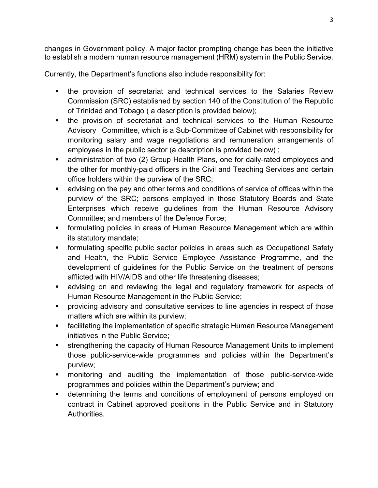changes in Government policy. A major factor prompting change has been the initiative to establish a modern human resource management (HRM) system in the Public Service.

Currently, the Department's functions also include responsibility for:

- **the provision of secretariat and technical services to the Salaries Review** Commission (SRC) established by section 140 of the Constitution of the Republic of Trinidad and Tobago ( a description is provided below);
- the provision of secretariat and technical services to the Human Resource Advisory Committee, which is a Sub-Committee of Cabinet with responsibility for monitoring salary and wage negotiations and remuneration arrangements of employees in the public sector (a description is provided below) ;
- administration of two (2) Group Health Plans, one for daily-rated employees and the other for monthly-paid officers in the Civil and Teaching Services and certain office holders within the purview of the SRC;
- advising on the pay and other terms and conditions of service of offices within the purview of the SRC; persons employed in those Statutory Boards and State Enterprises which receive guidelines from the Human Resource Advisory Committee; and members of the Defence Force;
- formulating policies in areas of Human Resource Management which are within its statutory mandate;
- formulating specific public sector policies in areas such as Occupational Safety and Health, the Public Service Employee Assistance Programme, and the development of guidelines for the Public Service on the treatment of persons afflicted with HIV/AIDS and other life threatening diseases;
- advising on and reviewing the legal and regulatory framework for aspects of Human Resource Management in the Public Service;
- providing advisory and consultative services to line agencies in respect of those matters which are within its purview;
- facilitating the implementation of specific strategic Human Resource Management initiatives in the Public Service;
- **strengthening the capacity of Human Resource Management Units to implement** those public-service-wide programmes and policies within the Department's purview;
- monitoring and auditing the implementation of those public-service-wide programmes and policies within the Department's purview; and
- **EXECT** determining the terms and conditions of employment of persons employed on contract in Cabinet approved positions in the Public Service and in Statutory Authorities.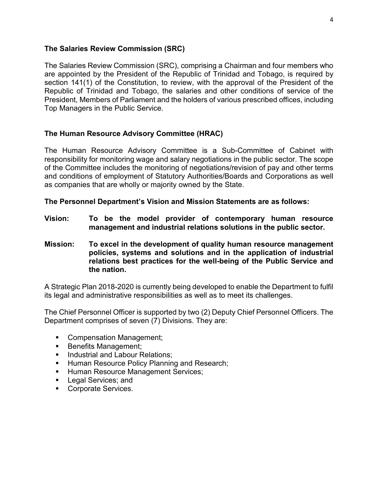#### **The Salaries Review Commission (SRC)**

The Salaries Review Commission (SRC), comprising a Chairman and four members who are appointed by the President of the Republic of Trinidad and Tobago, is required by section 141(1) of the Constitution, to review, with the approval of the President of the Republic of Trinidad and Tobago, the salaries and other conditions of service of the President, Members of Parliament and the holders of various prescribed offices, including Top Managers in the Public Service.

#### **The Human Resource Advisory Committee (HRAC)**

The Human Resource Advisory Committee is a Sub-Committee of Cabinet with responsibility for monitoring wage and salary negotiations in the public sector. The scope of the Committee includes the monitoring of negotiations/revision of pay and other terms and conditions of employment of Statutory Authorities/Boards and Corporations as well as companies that are wholly or majority owned by the State.

**The Personnel Department's Vision and Mission Statements are as follows:** 

- **Vision: To be the model provider of contemporary human resource management and industrial relations solutions in the public sector.**
- **Mission: To excel in the development of quality human resource management policies, systems and solutions and in the application of industrial relations best practices for the well-being of the Public Service and the nation.**

A Strategic Plan 2018-2020 is currently being developed to enable the Department to fulfil its legal and administrative responsibilities as well as to meet its challenges.

The Chief Personnel Officer is supported by two (2) Deputy Chief Personnel Officers. The Department comprises of seven (7) Divisions. They are:

- Compensation Management;
- Benefits Management;
- **Industrial and Labour Relations:**
- **Human Resource Policy Planning and Research;**
- **Human Resource Management Services;**
- **Legal Services; and**
- Corporate Services.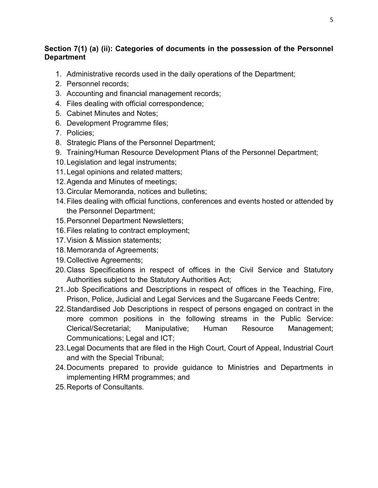# **Section 7(1) (a) (ii): Categories of documents in the possession of the Personnel Department**

- 1. Administrative records used in the daily operations of the Department;
- 2. Personnel records;
- 3. Accounting and financial management records;
- 4. Files dealing with official correspondence;
- 5. Cabinet Minutes and Notes;
- 6. Development Programme files;
- 7. Policies;
- 8. Strategic Plans of the Personnel Department;
- 9. Training/Human Resource Development Plans of the Personnel Department;
- 10.Legislation and legal instruments;
- 11.Legal opinions and related matters;
- 12.Agenda and Minutes of meetings;
- 13.Circular Memoranda, notices and bulletins;
- 14.Files dealing with official functions, conferences and events hosted or attended by the Personnel Department;
- 15.Personnel Department Newsletters;
- 16.Files relating to contract employment;
- 17.Vision & Mission statements;
- 18.Memoranda of Agreements;
- 19.Collective Agreements;
- 20.Class Specifications in respect of offices in the Civil Service and Statutory Authorities subject to the Statutory Authorities Act;
- 21.Job Specifications and Descriptions in respect of offices in the Teaching, Fire, Prison, Police, Judicial and Legal Services and the Sugarcane Feeds Centre;
- 22.Standardised Job Descriptions in respect of persons engaged on contract in the more common positions in the following streams in the Public Service: Clerical/Secretarial; Manipulative; Human Resource Management; Communications; Legal and ICT;
- 23.Legal Documents that are filed in the High Court, Court of Appeal, Industrial Court and with the Special Tribunal;
- 24.Documents prepared to provide guidance to Ministries and Departments in implementing HRM programmes; and
- 25.Reports of Consultants.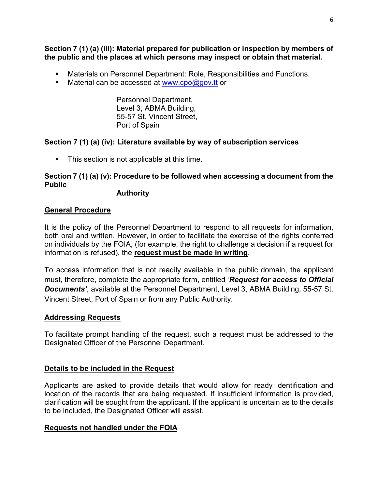**Section 7 (1) (a) (iii): Material prepared for publication or inspection by members of the public and the places at which persons may inspect or obtain that material.**

- Materials on Personnel Department: Role, Responsibilities and Functions.
- Material can be accessed at [www.cpo@gov.tt](http://www.cpo@gov.tt) or

Personnel Department, Level 3, ABMA Building, 55-57 St. Vincent Street, Port of Spain

#### **Section 7 (1) (a) (iv): Literature available by way of subscription services**

**This section is not applicable at this time.** 

## **Section 7 (1) (a) (v): Procedure to be followed when accessing a document from the Public**

 **Authority** 

#### **General Procedure**

It is the policy of the Personnel Department to respond to all requests for information, both oral and written. However, in order to facilitate the exercise of the rights conferred on individuals by the FOIA, (for example, the right to challenge a decision if a request for information is refused), the **request must be made in writing**.

To access information that is not readily available in the public domain, the applicant must, therefore, complete the appropriate form, entitled '*Request for access to Official*  **Documents'**, available at the Personnel Department, Level 3, ABMA Building, 55-57 St. Vincent Street, Port of Spain or from any Public Authority.

#### **Addressing Requests**

To facilitate prompt handling of the request, such a request must be addressed to the Designated Officer of the Personnel Department.

#### **Details to be included in the Request**

Applicants are asked to provide details that would allow for ready identification and location of the records that are being requested. If insufficient information is provided, clarification will be sought from the applicant. If the applicant is uncertain as to the details to be included, the Designated Officer will assist.

#### **Requests not handled under the FOIA**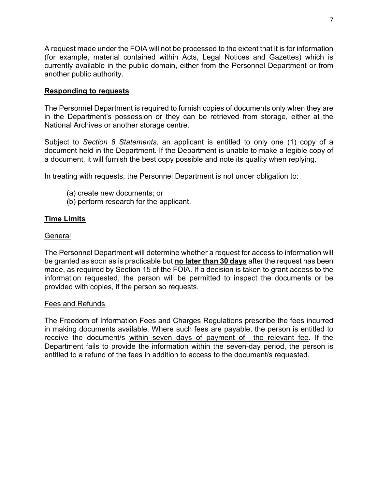A request made under the FOIA will not be processed to the extent that it is for information (for example, material contained within Acts, Legal Notices and Gazettes) which is currently available in the public domain, either from the Personnel Department or from another public authority.

### **Responding to requests**

The Personnel Department is required to furnish copies of documents only when they are in the Department's possession or they can be retrieved from storage, either at the National Archives or another storage centre.

Subject to *Section 8 Statements,* an applicant is entitled to only one (1) copy of a document held in the Department. If the Department is unable to make a legible copy of a document, it will furnish the best copy possible and note its quality when replying.

In treating with requests, the Personnel Department is not under obligation to:

- (a) create new documents; or
- (b) perform research for the applicant.

# **Time Limits**

#### General

The Personnel Department will determine whether a request for access to information will be granted as soon as is practicable but **no later than 30 days** after the request has been made, as required by Section 15 of the FOIA. If a decision is taken to grant access to the information requested, the person will be permitted to inspect the documents or be provided with copies, if the person so requests.

#### Fees and Refunds

The Freedom of Information Fees and Charges Regulations prescribe the fees incurred in making documents available. Where such fees are payable, the person is entitled to receive the document/s within seven days of payment of the relevant fee. If the Department fails to provide the information within the seven-day period, the person is entitled to a refund of the fees in addition to access to the document/s requested.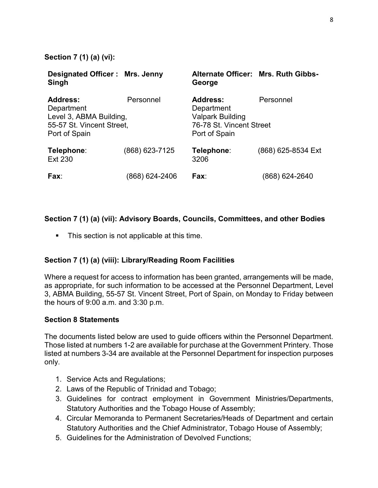**Section 7 (1) (a) (vi):** 

| <b>Designated Officer: Mrs. Jenny</b><br>Singh                                                  |                | Alternate Officer: Mrs. Ruth Gibbs-<br>George                                                         |                    |
|-------------------------------------------------------------------------------------------------|----------------|-------------------------------------------------------------------------------------------------------|--------------------|
| Address:<br>Department<br>Level 3, ABMA Building,<br>55-57 St. Vincent Street,<br>Port of Spain | Personnel      | <b>Address:</b><br>Department<br><b>Valpark Building</b><br>76-78 St. Vincent Street<br>Port of Spain | Personnel          |
| Telephone:<br><b>Ext 230</b>                                                                    | (868) 623-7125 | Telephone:<br>3206                                                                                    | (868) 625-8534 Ext |
| Fax:                                                                                            | (868) 624-2406 | Fax:                                                                                                  | (868) 624-2640     |

### **Section 7 (1) (a) (vii): Advisory Boards, Councils, Committees, and other Bodies**

**This section is not applicable at this time.** 

#### **Section 7 (1) (a) (viii): Library/Reading Room Facilities**

Where a request for access to information has been granted, arrangements will be made, as appropriate, for such information to be accessed at the Personnel Department, Level 3, ABMA Building, 55-57 St. Vincent Street, Port of Spain, on Monday to Friday between the hours of 9:00 a.m. and 3:30 p.m.

#### **Section 8 Statements**

The documents listed below are used to guide officers within the Personnel Department. Those listed at numbers 1-2 are available for purchase at the Government Printery. Those listed at numbers 3-34 are available at the Personnel Department for inspection purposes only.

- 1. Service Acts and Regulations;
- 2. Laws of the Republic of Trinidad and Tobago;
- 3. Guidelines for contract employment in Government Ministries/Departments, Statutory Authorities and the Tobago House of Assembly;
- 4. Circular Memoranda to Permanent Secretaries/Heads of Department and certain Statutory Authorities and the Chief Administrator, Tobago House of Assembly;
- 5. Guidelines for the Administration of Devolved Functions;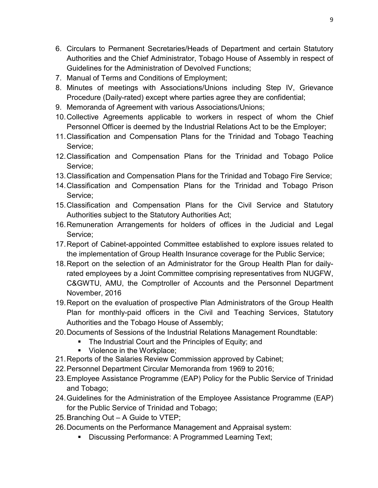- 6. Circulars to Permanent Secretaries/Heads of Department and certain Statutory Authorities and the Chief Administrator, Tobago House of Assembly in respect of Guidelines for the Administration of Devolved Functions;
- 7. Manual of Terms and Conditions of Employment;
- 8. Minutes of meetings with Associations/Unions including Step IV, Grievance Procedure (Daily-rated) except where parties agree they are confidential;
- 9. Memoranda of Agreement with various Associations/Unions;
- 10.Collective Agreements applicable to workers in respect of whom the Chief Personnel Officer is deemed by the Industrial Relations Act to be the Employer;
- 11.Classification and Compensation Plans for the Trinidad and Tobago Teaching Service;
- 12.Classification and Compensation Plans for the Trinidad and Tobago Police Service;
- 13.Classification and Compensation Plans for the Trinidad and Tobago Fire Service;
- 14.Classification and Compensation Plans for the Trinidad and Tobago Prison Service;
- 15.Classification and Compensation Plans for the Civil Service and Statutory Authorities subject to the Statutory Authorities Act;
- 16.Remuneration Arrangements for holders of offices in the Judicial and Legal Service;
- 17.Report of Cabinet-appointed Committee established to explore issues related to the implementation of Group Health Insurance coverage for the Public Service;
- 18.Report on the selection of an Administrator for the Group Health Plan for dailyrated employees by a Joint Committee comprising representatives from NUGFW, C&GWTU, AMU, the Comptroller of Accounts and the Personnel Department November, 2016
- 19.Report on the evaluation of prospective Plan Administrators of the Group Health Plan for monthly-paid officers in the Civil and Teaching Services, Statutory Authorities and the Tobago House of Assembly;
- 20.Documents of Sessions of the Industrial Relations Management Roundtable:
	- The Industrial Court and the Principles of Equity; and
	- **Violence in the Workplace:**
- 21.Reports of the Salaries Review Commission approved by Cabinet;
- 22.Personnel Department Circular Memoranda from 1969 to 2016;
- 23.Employee Assistance Programme (EAP) Policy for the Public Service of Trinidad and Tobago;
- 24.Guidelines for the Administration of the Employee Assistance Programme (EAP) for the Public Service of Trinidad and Tobago;
- 25.Branching Out A Guide to VTEP;
- 26.Documents on the Performance Management and Appraisal system:
	- **Discussing Performance: A Programmed Learning Text;**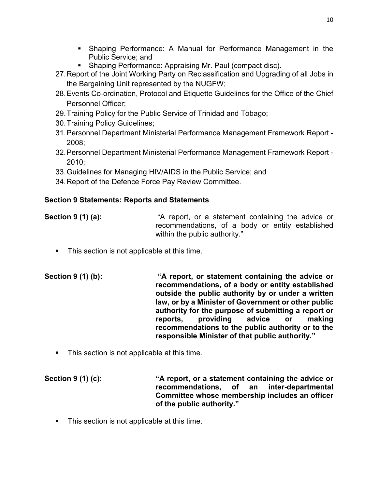- Shaping Performance: A Manual for Performance Management in the Public Service; and
- **Shaping Performance: Appraising Mr. Paul (compact disc).**
- 27.Report of the Joint Working Party on Reclassification and Upgrading of all Jobs in the Bargaining Unit represented by the NUGFW;
- 28.Events Co-ordination, Protocol and Etiquette Guidelines for the Office of the Chief Personnel Officer;
- 29.Training Policy for the Public Service of Trinidad and Tobago;
- 30.Training Policy Guidelines;
- 31.Personnel Department Ministerial Performance Management Framework Report 2008;
- 32.Personnel Department Ministerial Performance Management Framework Report 2010;
- 33.Guidelines for Managing HIV/AIDS in the Public Service; and
- 34.Report of the Defence Force Pay Review Committee.

# **Section 9 Statements: Reports and Statements**

# **Section 9 (1) (a):** "A report, or a statement containing the advice or recommendations, of a body or entity established within the public authority."

- **This section is not applicable at this time.**
- **Section 9 (1) (b): "A report, or statement containing the advice or recommendations, of a body or entity established outside the public authority by or under a written law, or by a Minister of Government or other public authority for the purpose of submitting a report or reports, providing advice or making recommendations to the public authority or to the responsible Minister of that public authority."**
	- This section is not applicable at this time.

**Section 9 (1) (c): "A report, or a statement containing the advice or recommendations, of an inter-departmental Committee whose membership includes an officer of the public authority."**

**This section is not applicable at this time.**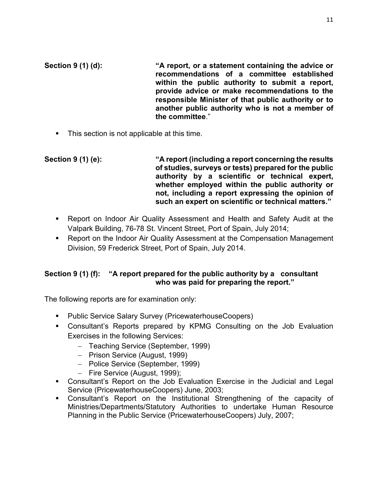**Section 9 (1) (d): "A report, or a statement containing the advice or recommendations of a committee established within the public authority to submit a report, provide advice or make recommendations to the responsible Minister of that public authority or to another public authority who is not a member of the committee**."

**This section is not applicable at this time.** 

**Section 9 (1) (e): "A report (including a report concerning the results of studies, surveys or tests) prepared for the public authority by a scientific or technical expert, whether employed within the public authority or not, including a report expressing the opinion of such an expert on scientific or technical matters."**

- Report on Indoor Air Quality Assessment and Health and Safety Audit at the Valpark Building, 76-78 St. Vincent Street, Port of Spain, July 2014;
- **Report on the Indoor Air Quality Assessment at the Compensation Management** Division, 59 Frederick Street, Port of Spain, July 2014.

# **Section 9 (1) (f): "A report prepared for the public authority by a consultant who was paid for preparing the report."**

The following reports are for examination only:

- **Public Service Salary Survey (PricewaterhouseCoopers)**
- Consultant's Reports prepared by KPMG Consulting on the Job Evaluation Exercises in the following Services:
	- − Teaching Service (September, 1999)
	- − Prison Service (August, 1999)
	- − Police Service (September, 1999)
	- − Fire Service (August, 1999);
- Consultant's Report on the Job Evaluation Exercise in the Judicial and Legal Service (PricewaterhouseCoopers) June, 2003;
- Consultant's Report on the Institutional Strengthening of the capacity of Ministries/Departments/Statutory Authorities to undertake Human Resource Planning in the Public Service (PricewaterhouseCoopers) July, 2007;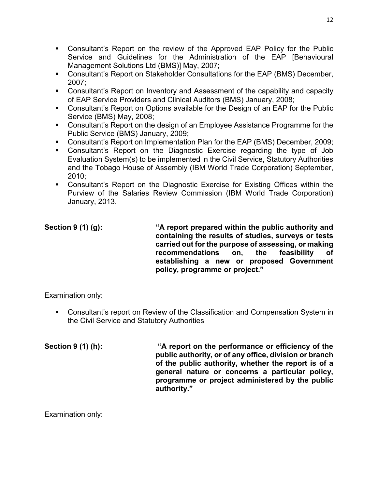- Consultant's Report on the review of the Approved EAP Policy for the Public Service and Guidelines for the Administration of the EAP [Behavioural Management Solutions Ltd (BMS)] May, 2007;
- Consultant's Report on Stakeholder Consultations for the EAP (BMS) December, 2007;
- Consultant's Report on Inventory and Assessment of the capability and capacity of EAP Service Providers and Clinical Auditors (BMS) January, 2008;
- Consultant's Report on Options available for the Design of an EAP for the Public Service (BMS) May, 2008;
- Consultant's Report on the design of an Employee Assistance Programme for the Public Service (BMS) January, 2009;
- Consultant's Report on Implementation Plan for the EAP (BMS) December, 2009;
- Consultant's Report on the Diagnostic Exercise regarding the type of Job Evaluation System(s) to be implemented in the Civil Service, Statutory Authorities and the Tobago House of Assembly (IBM World Trade Corporation) September, 2010;
- Consultant's Report on the Diagnostic Exercise for Existing Offices within the Purview of the Salaries Review Commission (IBM World Trade Corporation) January, 2013.

**Section 9 (1) (g): "A report prepared within the public authority and containing the results of studies, surveys or tests carried out for the purpose of assessing, or making recommendations on, the feasibility of establishing a new or proposed Government policy, programme or project."** 

#### Examination only:

 Consultant's report on Review of the Classification and Compensation System in the Civil Service and Statutory Authorities

**Section 9 (1) (h): "A report on the performance or efficiency of the public authority, or of any office, division or branch of the public authority, whether the report is of a general nature or concerns a particular policy, programme or project administered by the public authority."** 

#### Examination only: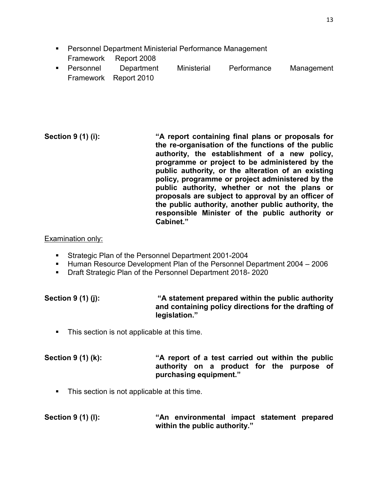- **Personnel Department Ministerial Performance Management** Framework Report 2008
- Personnel Department Ministerial Performance Management Framework Report 2010

#### **Section 9 (1) (i): "A report containing final plans or proposals for the re-organisation of the functions of the public authority, the establishment of a new policy, programme or project to be administered by the public authority, or the alteration of an existing policy, programme or project administered by the public authority, whether or not the plans or proposals are subject to approval by an officer of the public authority, another public authority, the responsible Minister of the public authority or Cabinet."**

### Examination only:

- Strategic Plan of the Personnel Department 2001-2004
- Human Resource Development Plan of the Personnel Department 2004 2006
- **Draft Strategic Plan of the Personnel Department 2018-2020**

| Section 9 (1) (j): | "A statement prepared within the public authority"   |
|--------------------|------------------------------------------------------|
|                    | and containing policy directions for the drafting of |
|                    | legislation."                                        |

• This section is not applicable at this time.

**Section 9 (1) (k): "A report of a test carried out within the public authority on a product for the purpose of purchasing equipment."** 

**This section is not applicable at this time.** 

# **Section 9 (1) (l): "An environmental impact statement prepared within the public authority."**